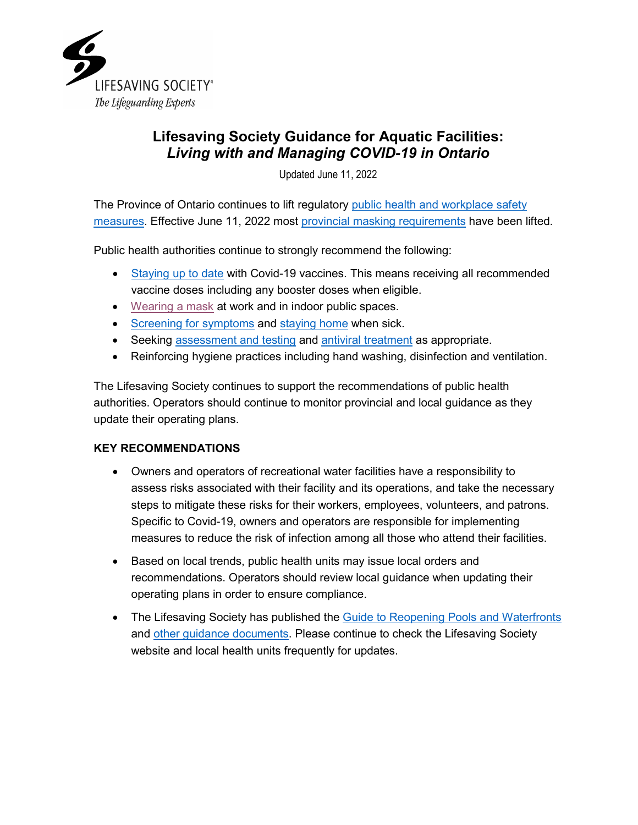

# **Lifesaving Society Guidance for Aquatic Facilities:** *Living with and Managing COVID-19 in Ontario*

Updated June 11, 2022

The Province of Ontario continues to lift regulatory [public health and workplace safety](https://covid-19.ontario.ca/public-health-measures)  [measures.](https://covid-19.ontario.ca/public-health-measures) Effective June 11, 2022 most [provincial masking requirements](https://news.ontario.ca/en/statement/1002160/most-masking-requirements-to-be-lifted-on-june-11) have been lifted.

Public health authorities continue to strongly recommend the following:

- [Staying up to date](https://www.health.gov.on.ca/en/pro/programs/publichealth/coronavirus/docs/vaccine/COVID_19_vaccine_up_to_date.pdf) with Covid-19 vaccines. This means receiving all recommended vaccine doses including any booster doses when eligible.
- [Wearing a mask](https://www.ontario.ca/page/face-coverings-and-face-masks) at work and in indoor public spaces.
- [Screening for symptoms](https://www.ontario.ca/page/covid-19-stop-spread) and [staying home](https://covid-19.ontario.ca/exposed) when sick.
- Seeking [assessment and](https://covid-19.ontario.ca/covid-19-clinical-assessments-and-testing) testing and [antiviral treatment](https://covid-19.ontario.ca/covid-19-antiviral-treatment) as appropriate.
- Reinforcing hygiene practices including hand washing, disinfection and ventilation.

The Lifesaving Society continues to support the recommendations of public health authorities. Operators should continue to monitor provincial and local guidance as they update their operating plans.

# **KEY RECOMMENDATIONS**

- Owners and operators of recreational water facilities have a responsibility to assess risks associated with their facility and its operations, and take the necessary steps to mitigate these risks for their workers, employees, volunteers, and patrons. Specific to Covid-19, owners and operators are responsible for implementing measures to reduce the risk of infection among all those who attend their facilities.
- Based on local trends, public health units may issue local orders and recommendations. Operators should review local guidance when updating their operating plans in order to ensure compliance.
- The Lifesaving Society has published the [Guide to Reopening Pools and Waterfronts](https://www.lifesavingsociety.com/media/333134/98guide_reopening%20pools_waterfronts_updated%20november%202020.pdf) and [other guidance documents.](https://www.lifesavingsociety.com/safety-management/covid-19.aspx) Please continue to check the Lifesaving Society website and local health units frequently for updates.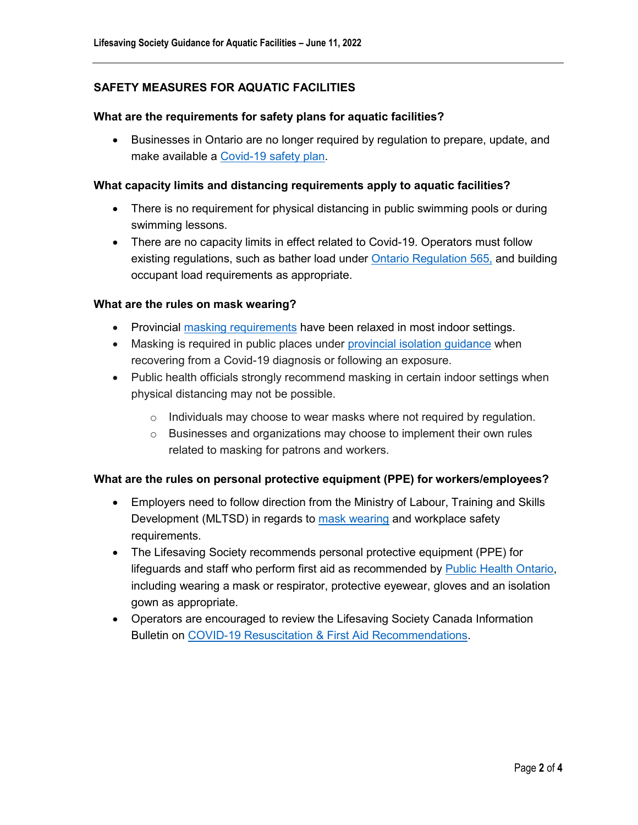# **SAFETY MEASURES FOR AQUATIC FACILITIES**

#### **What are the requirements for safety plans for aquatic facilities?**

• Businesses in Ontario are no longer required by regulation to prepare, update, and make available a [Covid-19 safety plan.](https://www.ontario.ca/page/develop-your-covid-19-workplace-safety-plan)

#### **What capacity limits and distancing requirements apply to aquatic facilities?**

- There is no requirement for physical distancing in public swimming pools or during swimming lessons.
- There are no capacity limits in effect related to Covid-19. Operators must follow existing regulations, such as bather load under [Ontario Regulation 565,](https://www.ontario.ca/laws/regulation/900565) and building occupant load requirements as appropriate.

#### **What are the rules on mask wearing?**

- Provincial masking [requirements](https://www.ontario.ca/page/face-coverings-and-face-masks) have been relaxed in most indoor settings.
- Masking is required in public places under [provincial isolation guidance](https://covid-19.ontario.ca/exposed) when recovering from a Covid-19 diagnosis or following an exposure.
- Public health officials strongly recommend masking in certain indoor settings when physical distancing may not be possible.
	- o Individuals may choose to wear masks where not required by regulation.
	- $\circ$  Businesses and organizations may choose to implement their own rules related to masking for patrons and workers.

#### **What are the rules on personal protective equipment (PPE) for workers/employees?**

- Employers need to follow direction from the Ministry of Labour, Training and Skills Development (MLTSD) in regards to [mask wearing](https://www.ontario.ca/page/using-masks-workplace) and workplace safety requirements.
- The Lifesaving Society recommends personal protective equipment (PPE) for lifeguards and staff who perform first aid as recommended by [Public Health Ontario,](https://www.publichealthontario.ca/en/diseases-and-conditions/infectious-diseases/respiratory-diseases/novel-coronavirus/ppe) including wearing a mask or respirator, protective eyewear, gloves and an isolation gown as appropriate.
- Operators are encouraged to review the Lifesaving Society Canada Information Bulletin on [COVID-19 Resuscitation & First Aid Recommendations.](https://lifesaving.ca/cmsUploads/lifesaving/File/COVID-19%20Resuscitation%20%26%20First%20Aid%20Recommendations%20UPDATE%20April%202021.pdf)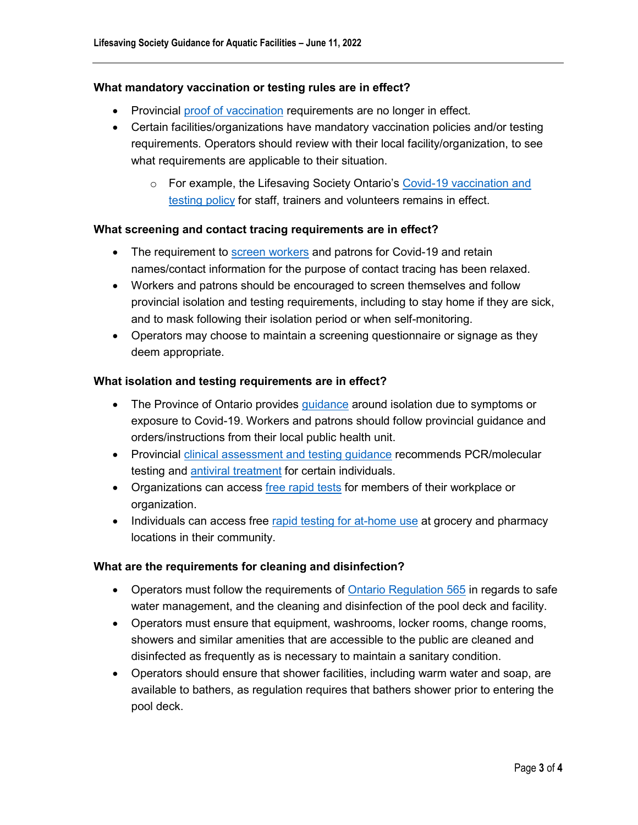#### **What mandatory vaccination or testing rules are in effect?**

- Provincial [proof of vaccination](https://covid-19.ontario.ca/proof-covid-19-vaccination) requirements are no longer in effect.
- Certain facilities/organizations have mandatory vaccination policies and/or testing requirements. Operators should review with their local facility/organization, to see what requirements are applicable to their situation.
	- o For example, the Lifesaving Society Ontario's [Covid-19 vaccination and](https://www.lifesavingsociety.com/media/354459/98vaccinationpolicyoutline-20210920.pdf)  [testing policy](https://www.lifesavingsociety.com/media/354459/98vaccinationpolicyoutline-20210920.pdf) for staff, trainers and volunteers remains in effect.

#### **What screening and contact tracing requirements are in effect?**

- The requirement to **screen workers** and patrons for Covid-19 and retain names/contact information for the purpose of contact tracing has been relaxed.
- Workers and patrons should be encouraged to screen themselves and follow provincial isolation and testing requirements, including to stay home if they are sick, and to mask following their isolation period or when self-monitoring.
- Operators may choose to maintain a screening questionnaire or signage as they deem appropriate.

## **What isolation and testing requirements are in effect?**

- The Province of Ontario provides [guidance](https://covid-19.ontario.ca/exposed) around isolation due to symptoms or exposure to Covid-19. Workers and patrons should follow provincial guidance and orders/instructions from their local public health unit.
- Provincial [clinical assessment and testing guidance](https://covid-19.ontario.ca/covid-19-clinical-assessments-and-testing) recommends PCR/molecular testing and [antiviral treatment](https://covid-19.ontario.ca/covid-19-antiviral-treatment) for certain individuals.
- Organizations can access [free rapid tests](https://covid-19.ontario.ca/get-free-rapid-tests) for members of their workplace or organization.
- Individuals can access free [rapid testing for at-home use](https://www.ontario.ca/page/rapid-testing-home-use) at grocery and pharmacy locations in their community.

#### **What are the requirements for cleaning and disinfection?**

- Operators must follow the requirements of [Ontario Regulation 565](https://www.ontario.ca/laws/regulation/900565) in regards to safe water management, and the cleaning and disinfection of the pool deck and facility.
- Operators must ensure that equipment, washrooms, locker rooms, change rooms, showers and similar amenities that are accessible to the public are cleaned and disinfected as frequently as is necessary to maintain a sanitary condition.
- Operators should ensure that shower facilities, including warm water and soap, are available to bathers, as regulation requires that bathers shower prior to entering the pool deck.